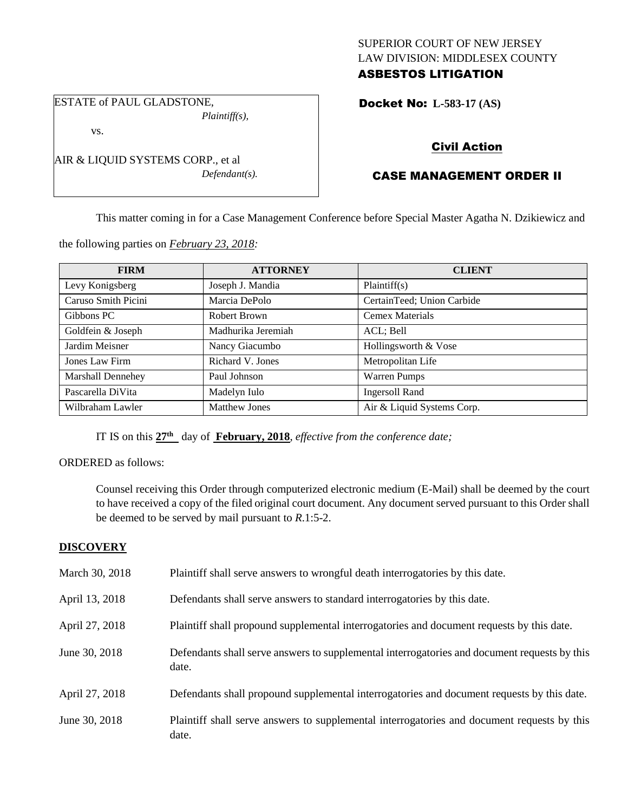## SUPERIOR COURT OF NEW JERSEY LAW DIVISION: MIDDLESEX COUNTY ASBESTOS LITIGATION

ESTATE of PAUL GLADSTONE, *Plaintiff(s),*

vs.

AIR & LIQUID SYSTEMS CORP., et al *Defendant(s).*

# Docket No: **L-583-17 (AS)**

# Civil Action

# CASE MANAGEMENT ORDER II

This matter coming in for a Case Management Conference before Special Master Agatha N. Dzikiewicz and

the following parties on *February 23, 2018:*

| <b>FIRM</b>              | <b>ATTORNEY</b>      | <b>CLIENT</b>              |
|--------------------------|----------------------|----------------------------|
| Levy Konigsberg          | Joseph J. Mandia     | Plaintiff(s)               |
| Caruso Smith Picini      | Marcia DePolo        | CertainTeed; Union Carbide |
| Gibbons PC               | Robert Brown         | <b>Cemex Materials</b>     |
| Goldfein & Joseph        | Madhurika Jeremiah   | ACL; Bell                  |
| Jardim Meisner           | Nancy Giacumbo       | Hollingsworth & Vose       |
| Jones Law Firm           | Richard V. Jones     | Metropolitan Life          |
| <b>Marshall Dennehey</b> | Paul Johnson         | <b>Warren Pumps</b>        |
| Pascarella DiVita        | Madelyn Iulo         | <b>Ingersoll Rand</b>      |
| Wilbraham Lawler         | <b>Matthew Jones</b> | Air & Liquid Systems Corp. |

IT IS on this **27th** day of **February, 2018**, *effective from the conference date;*

ORDERED as follows:

Counsel receiving this Order through computerized electronic medium (E-Mail) shall be deemed by the court to have received a copy of the filed original court document. Any document served pursuant to this Order shall be deemed to be served by mail pursuant to *R*.1:5-2.

## **DISCOVERY**

| March 30, 2018 | Plaintiff shall serve answers to wrongful death interrogatories by this date.                         |
|----------------|-------------------------------------------------------------------------------------------------------|
| April 13, 2018 | Defendants shall serve answers to standard interrogatories by this date.                              |
| April 27, 2018 | Plaintiff shall propound supplemental interrogatories and document requests by this date.             |
| June 30, 2018  | Defendants shall serve answers to supplemental interrogatories and document requests by this<br>date. |
| April 27, 2018 | Defendants shall propound supplemental interrogatories and document requests by this date.            |
| June 30, 2018  | Plaintiff shall serve answers to supplemental interrogatories and document requests by this<br>date.  |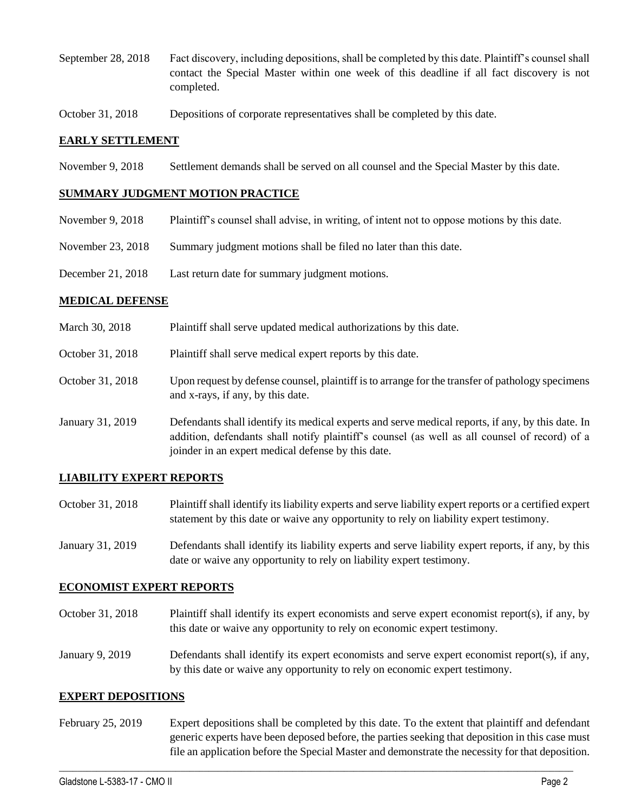- September 28, 2018 Fact discovery, including depositions, shall be completed by this date. Plaintiff's counsel shall contact the Special Master within one week of this deadline if all fact discovery is not completed.
- October 31, 2018 Depositions of corporate representatives shall be completed by this date.

#### **EARLY SETTLEMENT**

November 9, 2018 Settlement demands shall be served on all counsel and the Special Master by this date.

#### **SUMMARY JUDGMENT MOTION PRACTICE**

- November 9, 2018 Plaintiff's counsel shall advise, in writing, of intent not to oppose motions by this date.
- November 23, 2018 Summary judgment motions shall be filed no later than this date.
- December 21, 2018 Last return date for summary judgment motions.

#### **MEDICAL DEFENSE**

March 30, 2018 Plaintiff shall serve updated medical authorizations by this date. October 31, 2018 Plaintiff shall serve medical expert reports by this date. October 31, 2018 Upon request by defense counsel, plaintiff is to arrange for the transfer of pathology specimens and x-rays, if any, by this date. January 31, 2019 Defendants shall identify its medical experts and serve medical reports, if any, by this date. In addition, defendants shall notify plaintiff's counsel (as well as all counsel of record) of a joinder in an expert medical defense by this date.

#### **LIABILITY EXPERT REPORTS**

- October 31, 2018 Plaintiff shall identify its liability experts and serve liability expert reports or a certified expert statement by this date or waive any opportunity to rely on liability expert testimony.
- January 31, 2019 Defendants shall identify its liability experts and serve liability expert reports, if any, by this date or waive any opportunity to rely on liability expert testimony.

#### **ECONOMIST EXPERT REPORTS**

- October 31, 2018 Plaintiff shall identify its expert economists and serve expert economist report(s), if any, by this date or waive any opportunity to rely on economic expert testimony.
- January 9, 2019 Defendants shall identify its expert economists and serve expert economist report(s), if any, by this date or waive any opportunity to rely on economic expert testimony.

#### **EXPERT DEPOSITIONS**

February 25, 2019 Expert depositions shall be completed by this date. To the extent that plaintiff and defendant generic experts have been deposed before, the parties seeking that deposition in this case must file an application before the Special Master and demonstrate the necessity for that deposition.

 $\_$  ,  $\_$  ,  $\_$  ,  $\_$  ,  $\_$  ,  $\_$  ,  $\_$  ,  $\_$  ,  $\_$  ,  $\_$  ,  $\_$  ,  $\_$  ,  $\_$  ,  $\_$  ,  $\_$  ,  $\_$  ,  $\_$  ,  $\_$  ,  $\_$  ,  $\_$  ,  $\_$  ,  $\_$  ,  $\_$  ,  $\_$  ,  $\_$  ,  $\_$  ,  $\_$  ,  $\_$  ,  $\_$  ,  $\_$  ,  $\_$  ,  $\_$  ,  $\_$  ,  $\_$  ,  $\_$  ,  $\_$  ,  $\_$  ,